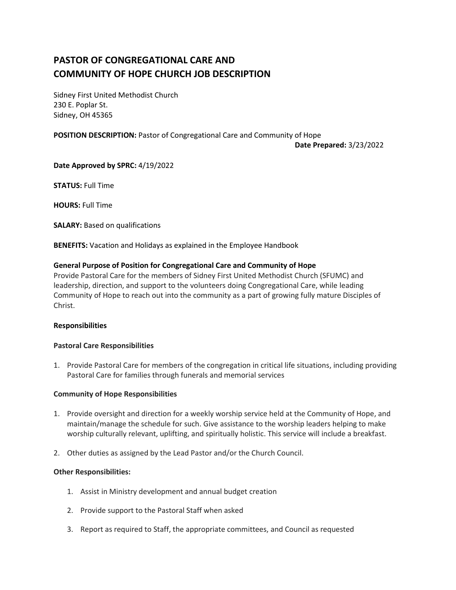# **PASTOR OF CONGREGATIONAL CARE AND COMMUNITY OF HOPE CHURCH JOB DESCRIPTION**

Sidney First United Methodist Church 230 E. Poplar St. Sidney, OH 45365

### **POSITION DESCRIPTION:** Pastor of Congregational Care and Community of Hope

**Date Prepared:** 3/23/2022

**Date Approved by SPRC:** 4/19/2022

**STATUS:** Full Time

**HOURS:** Full Time

**SALARY:** Based on qualifications

**BENEFITS:** Vacation and Holidays as explained in the Employee Handbook

#### **General Purpose of Position for Congregational Care and Community of Hope**

Provide Pastoral Care for the members of Sidney First United Methodist Church (SFUMC) and leadership, direction, and support to the volunteers doing Congregational Care, while leading Community of Hope to reach out into the community as a part of growing fully mature Disciples of Christ.

#### **Responsibilities**

#### **Pastoral Care Responsibilities**

1. Provide Pastoral Care for members of the congregation in critical life situations, including providing Pastoral Care for families through funerals and memorial services

#### **Community of Hope Responsibilities**

- 1. Provide oversight and direction for a weekly worship service held at the Community of Hope, and maintain/manage the schedule for such. Give assistance to the worship leaders helping to make worship culturally relevant, uplifting, and spiritually holistic. This service will include a breakfast.
- 2. Other duties as assigned by the Lead Pastor and/or the Church Council.

#### **Other Responsibilities:**

- 1. Assist in Ministry development and annual budget creation
- 2. Provide support to the Pastoral Staff when asked
- 3. Report as required to Staff, the appropriate committees, and Council as requested